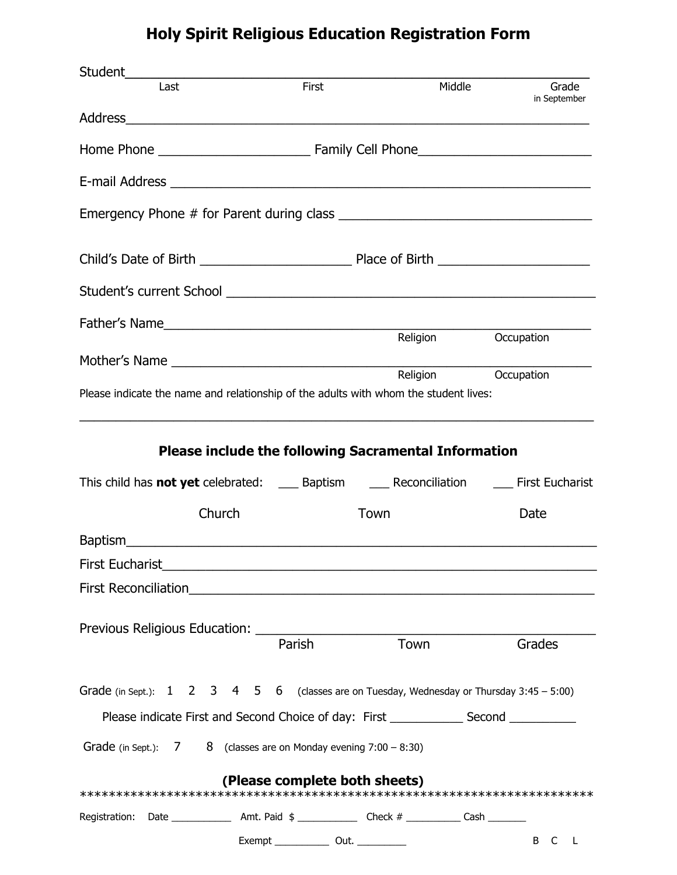## **Holy Spirit Religious Education Registration Form**

| Last                                                                                                                                                                                                                                 | First                                            | Middle                      | Grade<br>in September   |  |  |  |  |
|--------------------------------------------------------------------------------------------------------------------------------------------------------------------------------------------------------------------------------------|--------------------------------------------------|-----------------------------|-------------------------|--|--|--|--|
|                                                                                                                                                                                                                                      |                                                  |                             |                         |  |  |  |  |
|                                                                                                                                                                                                                                      |                                                  |                             |                         |  |  |  |  |
|                                                                                                                                                                                                                                      |                                                  |                             |                         |  |  |  |  |
|                                                                                                                                                                                                                                      |                                                  |                             |                         |  |  |  |  |
|                                                                                                                                                                                                                                      |                                                  |                             |                         |  |  |  |  |
|                                                                                                                                                                                                                                      |                                                  |                             |                         |  |  |  |  |
|                                                                                                                                                                                                                                      |                                                  |                             |                         |  |  |  |  |
|                                                                                                                                                                                                                                      |                                                  | Religion Occupation         |                         |  |  |  |  |
|                                                                                                                                                                                                                                      |                                                  | Religion Occupation         |                         |  |  |  |  |
| Please indicate the name and relationship of the adults with whom the student lives:                                                                                                                                                 |                                                  |                             |                         |  |  |  |  |
| This child has <b>not yet</b> celebrated: ______ Baptism _______ Reconciliation _______ First Eucharist                                                                                                                              |                                                  |                             |                         |  |  |  |  |
| Church                                                                                                                                                                                                                               |                                                  | Town                        | Date                    |  |  |  |  |
|                                                                                                                                                                                                                                      |                                                  |                             |                         |  |  |  |  |
| First Eucharist                                                                                                                                                                                                                      |                                                  |                             |                         |  |  |  |  |
| First Reconciliation <b>Executive Contract Contract Contract Contract Contract Contract Contract Contract Contract Contract Contract Contract Contract Contract Contract Contract Contract Contract Contract Contract Contract C</b> |                                                  |                             |                         |  |  |  |  |
|                                                                                                                                                                                                                                      |                                                  |                             |                         |  |  |  |  |
|                                                                                                                                                                                                                                      | Parish                                           | Town                        | Grades                  |  |  |  |  |
| Grade (in Sept.): $1 \quad 2 \quad 3 \quad 4 \quad 5 \quad 6$ (classes are on Tuesday, Wednesday or Thursday 3:45 - 5:00)                                                                                                            |                                                  |                             |                         |  |  |  |  |
|                                                                                                                                                                                                                                      |                                                  |                             |                         |  |  |  |  |
| Grade (in Sept.): $7$                                                                                                                                                                                                                | 8 (classes are on Monday evening $7:00 - 8:30$ ) |                             |                         |  |  |  |  |
|                                                                                                                                                                                                                                      | (Please complete both sheets)                    |                             |                         |  |  |  |  |
|                                                                                                                                                                                                                                      |                                                  |                             |                         |  |  |  |  |
| Registration: Date ______________ Amt. Paid \$ _____________ Check # __________ Cash ________                                                                                                                                        |                                                  |                             |                         |  |  |  |  |
|                                                                                                                                                                                                                                      |                                                  | $Exempt$ $Out.$ $_________$ | B<br>$\mathsf{C}$<br>L. |  |  |  |  |